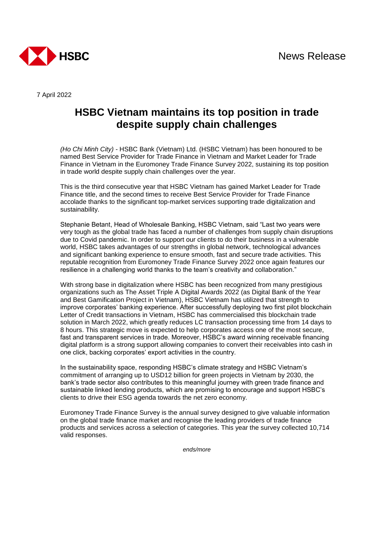

7 April 2022

## **HSBC Vietnam maintains its top position in trade despite supply chain challenges**

*(Ho Chi Minh City) -* HSBC Bank (Vietnam) Ltd. (HSBC Vietnam) has been honoured to be named Best Service Provider for Trade Finance in Vietnam and Market Leader for Trade Finance in Vietnam in the Euromoney Trade Finance Survey 2022, sustaining its top position in trade world despite supply chain challenges over the year.

This is the third consecutive year that HSBC Vietnam has gained Market Leader for Trade Finance title, and the second times to receive Best Service Provider for Trade Finance accolade thanks to the significant top-market services supporting trade digitalization and sustainability.

Stephanie Betant, Head of Wholesale Banking, HSBC Vietnam, said "Last two years were very tough as the global trade has faced a number of challenges from supply chain disruptions due to Covid pandemic. In order to support our clients to do their business in a vulnerable world, HSBC takes advantages of our strengths in global network, technological advances and significant banking experience to ensure smooth, fast and secure trade activities. This reputable recognition from Euromoney Trade Finance Survey 2022 once again features our resilience in a challenging world thanks to the team's creativity and collaboration."

With strong base in digitalization where HSBC has been recognized from many prestigious organizations such as The Asset Triple A Digital Awards 2022 (as Digital Bank of the Year and Best Gamification Project in Vietnam), HSBC Vietnam has utilized that strength to improve corporates' banking experience. After successfully deploying two first pilot blockchain Letter of Credit transactions in Vietnam, HSBC has commercialised this blockchain trade solution in March 2022, which greatly reduces LC transaction processing time from 14 days to 8 hours. This strategic move is expected to help corporates access one of the most secure, fast and transparent services in trade. Moreover, HSBC's award winning receivable financing digital platform is a strong support allowing companies to convert their receivables into cash in one click, backing corporates' export activities in the country.

In the sustainability space, responding HSBC's climate strategy and HSBC Vietnam's commitment of arranging up to USD12 billion for green projects in Vietnam by 2030, the bank's trade sector also contributes to this meaningful journey with green trade finance and sustainable linked lending products, which are promising to encourage and support HSBC's clients to drive their ESG agenda towards the net zero economy.

Euromoney Trade Finance Survey is the annual survey designed to give valuable information on the global trade finance market and recognise the leading providers of trade finance products and services across a selection of categories. This year the survey collected 10,714 valid responses.

*ends/more*